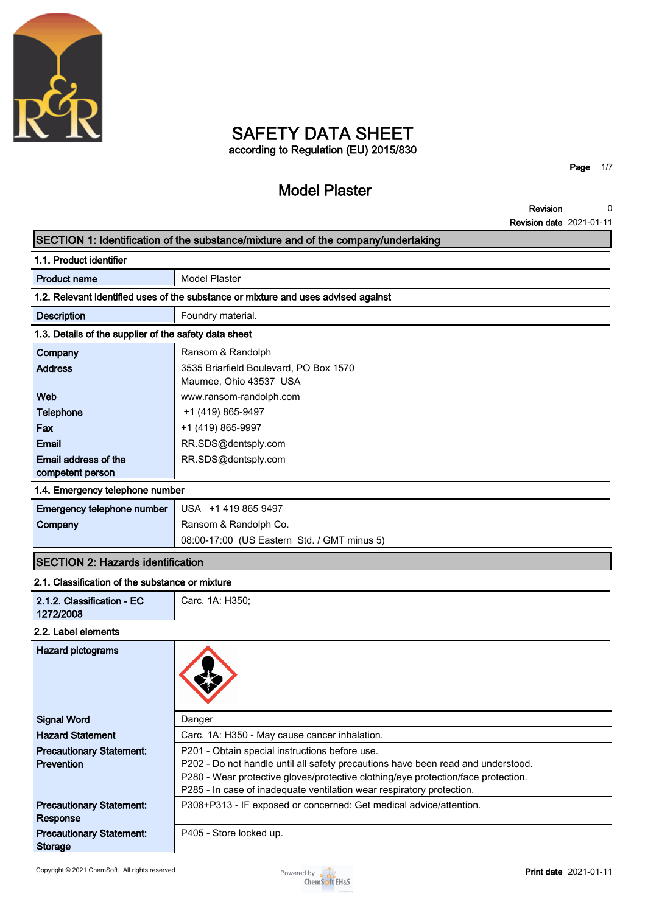

# **SAFETY DATA SHEET according to Regulation (EU) 2015/830**

# **Model Plaster**

**Page 1/7**

**Revision Revision date 2021-01-11 0**

#### **SECTION 1: Identification of the substance/mixture and of the company/undertaking**

| 1.1. Product identifier                               |                                                                                    |
|-------------------------------------------------------|------------------------------------------------------------------------------------|
| <b>Product name</b>                                   | <b>Model Plaster</b>                                                               |
|                                                       | 1.2. Relevant identified uses of the substance or mixture and uses advised against |
| <b>Description</b>                                    | Foundry material.                                                                  |
| 1.3. Details of the supplier of the safety data sheet |                                                                                    |
| Company                                               | Ransom & Randolph                                                                  |
| <b>Address</b>                                        | 3535 Briarfield Boulevard, PO Box 1570                                             |
|                                                       | Maumee, Ohio 43537 USA                                                             |
| Web                                                   | www.ransom-randolph.com                                                            |
| <b>Telephone</b>                                      | +1 (419) 865-9497                                                                  |
| Fax                                                   | +1 (419) 865-9997                                                                  |
| <b>Email</b>                                          | RR.SDS@dentsply.com                                                                |
| Email address of the                                  | RR.SDS@dentsply.com                                                                |
| competent person                                      |                                                                                    |
| 1.4. Emergency telephone number                       |                                                                                    |
| Emergency telephone number                            | USA +1 419 865 9497                                                                |
| Company                                               | Ransom & Randolph Co.                                                              |
|                                                       | 08:00-17:00 (US Eastern Std. / GMT minus 5)                                        |
| <b>SECTION 2: Hazards identification</b>              |                                                                                    |
| 2.1. Classification of the substance or mixture       |                                                                                    |
| 2.1.2. Classification - EC<br>1272/2008               | Carc. 1A: H350;                                                                    |
| 2.2. Label elements                                   |                                                                                    |
| <b>Hazard pictograms</b>                              |                                                                                    |
| <b>Signal Word</b>                                    | Danger                                                                             |
| <b>Hazard Statement</b>                               | Carc. 1A: H350 - May cause cancer inhalation.                                      |
| <b>Precautionary Statement:</b>                       | P201 - Obtain special instructions before use.                                     |
| <b>Prevention</b>                                     | P202 - Do not handle until all safety precautions have been read and understood.   |

**P280 - Wear protective gloves/protective clothing/eye protection/face protection.**

**P285 - In case of inadequate ventilation wear respiratory protection.**

**Precautionary Statement: Storage**

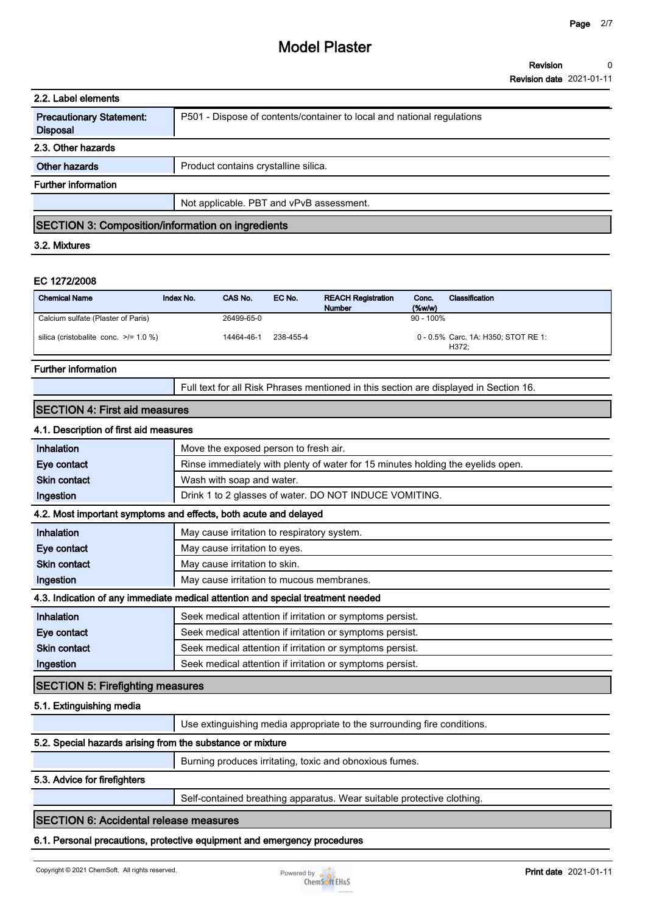| 2.2. Label elements                                      |                                                                        |  |
|----------------------------------------------------------|------------------------------------------------------------------------|--|
| <b>Precautionary Statement:</b><br><b>Disposal</b>       | P501 - Dispose of contents/container to local and national regulations |  |
| 2.3. Other hazards                                       |                                                                        |  |
| Other hazards                                            | Product contains crystalline silica.                                   |  |
| <b>Further information</b>                               |                                                                        |  |
|                                                          | Not applicable. PBT and vPvB assessment.                               |  |
| <b>SECTION 3: Composition/information on ingredients</b> |                                                                        |  |

### **3.2. Mixtures**

#### **EC 1272/2008**

| <b>Chemical Name</b>                       | Index No. | CAS No.    | EC No.    | <b>REACH Registration</b><br><b>Number</b> | Conc.<br>$(\%w/w)$ | Classification                               |
|--------------------------------------------|-----------|------------|-----------|--------------------------------------------|--------------------|----------------------------------------------|
| Calcium sulfate (Plaster of Paris)         |           | 26499-65-0 |           |                                            | $90 - 100\%$       |                                              |
| silica (cristobalite conc. $\ge$ /= 1.0 %) |           | 14464-46-1 | 238-455-4 |                                            |                    | 0 - 0.5% Carc. 1A: H350; STOT RE 1:<br>H372: |

#### **Further information**

| Full text for all Risk Phrases mentioned in this section are displayed in Section 16. |
|---------------------------------------------------------------------------------------|
|---------------------------------------------------------------------------------------|

### **SECTION 4: First aid measures**

#### **4.1. Description of first aid measures**

| Inhalation                                                 | Move the exposed person to fresh air.                                           |
|------------------------------------------------------------|---------------------------------------------------------------------------------|
| Eye contact                                                | Rinse immediately with plenty of water for 15 minutes holding the eyelids open. |
| <b>Skin contact</b>                                        | Wash with soap and water.                                                       |
| Ingestion                                                  | Drink 1 to 2 glasses of water. DO NOT INDUCE VOMITING.                          |
|                                                            | 4.2. Most important symptoms and effects, both acute and delayed                |
| Inhalation                                                 | May cause irritation to respiratory system.                                     |
| Eye contact                                                | May cause irritation to eyes.                                                   |
| <b>Skin contact</b>                                        | May cause irritation to skin.                                                   |
| Ingestion                                                  | May cause irritation to mucous membranes.                                       |
|                                                            | 4.3. Indication of any immediate medical attention and special treatment needed |
| Inhalation                                                 | Seek medical attention if irritation or symptoms persist.                       |
| Eye contact                                                | Seek medical attention if irritation or symptoms persist.                       |
| <b>Skin contact</b>                                        | Seek medical attention if irritation or symptoms persist.                       |
| Ingestion                                                  | Seek medical attention if irritation or symptoms persist.                       |
| <b>SECTION 5: Firefighting measures</b>                    |                                                                                 |
| 5.1. Extinguishing media                                   |                                                                                 |
|                                                            | Use extinguishing media appropriate to the surrounding fire conditions.         |
| 5.2. Special hazards arising from the substance or mixture |                                                                                 |
|                                                            | Burning produces irritating, toxic and obnoxious fumes.                         |
| 5.3. Advice for firefighters                               |                                                                                 |
|                                                            | Self-contained breathing apparatus. Wear suitable protective clothing.          |
| <b>SECTION 6: Accidental release measures</b>              |                                                                                 |

#### **6.1. Personal precautions, protective equipment and emergency procedures**

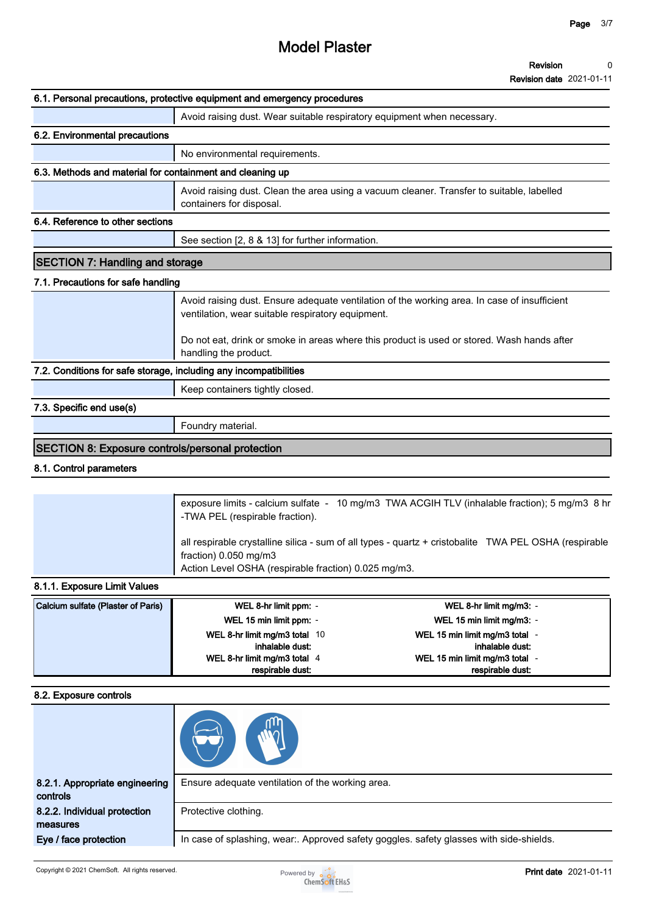#### **Revision 0**

**Revision date 2021-01-11**

|                                                                   | 6.1. Personal precautions, protective equipment and emergency procedures                                                                          |
|-------------------------------------------------------------------|---------------------------------------------------------------------------------------------------------------------------------------------------|
|                                                                   | Avoid raising dust. Wear suitable respiratory equipment when necessary.                                                                           |
| 6.2. Environmental precautions                                    |                                                                                                                                                   |
|                                                                   | No environmental requirements.                                                                                                                    |
| 6.3. Methods and material for containment and cleaning up         |                                                                                                                                                   |
|                                                                   | Avoid raising dust. Clean the area using a vacuum cleaner. Transfer to suitable, labelled<br>containers for disposal.                             |
| 6.4. Reference to other sections                                  |                                                                                                                                                   |
|                                                                   | See section [2, 8 & 13] for further information.                                                                                                  |
| <b>SECTION 7: Handling and storage</b>                            |                                                                                                                                                   |
| 7.1. Precautions for safe handling                                |                                                                                                                                                   |
|                                                                   | Avoid raising dust. Ensure adequate ventilation of the working area. In case of insufficient<br>ventilation, wear suitable respiratory equipment. |
|                                                                   | Do not eat, drink or smoke in areas where this product is used or stored. Wash hands after<br>handling the product.                               |
| 7.2. Conditions for safe storage, including any incompatibilities |                                                                                                                                                   |
|                                                                   | Keep containers tightly closed.                                                                                                                   |
| 7.3. Specific end use(s)                                          |                                                                                                                                                   |
|                                                                   | Foundry material.                                                                                                                                 |
| <b>SECTION 8: Exposure controls/personal protection</b>           |                                                                                                                                                   |
| 8.1. Control parameters                                           |                                                                                                                                                   |
|                                                                   |                                                                                                                                                   |
|                                                                   | exposure limits - calcium sulfate - 10 mg/m3 TWA ACGIH TLV (inhalable fraction); 5 mg/m3 8 hr<br>-TWA PEL (respirable fraction).                  |

**all respirable crystalline silica - sum of all types - quartz + cristobalite TWA PEL OSHA (respirable fraction) 0.050 mg/m3 Action Level OSHA (respirable fraction) 0.025 mg/m3.**

## **8.1.1. Exposure Limit Values**

| Calcium sulfate (Plaster of Paris) | WEL 8-hr limit ppm: -         | WEL 8-hr limit mg/m3: -      |
|------------------------------------|-------------------------------|------------------------------|
|                                    | WEL 15 min limit ppm: -       | WEL 15 min limit mg/m3: -    |
|                                    | WEL 8-hr limit mg/m3 total 10 | WEL 15 min limit mg/m3 total |
|                                    | inhalable dust:               | inhalable dust:              |
|                                    | WEL 8-hr limit mg/m3 total 4  | WEL 15 min limit mg/m3 total |
|                                    | respirable dust:              | respirable dust:             |

#### **8.2. Exposure controls**

| 8.2.1. Appropriate engineering<br>controls | Ensure adequate ventilation of the working area.                                      |
|--------------------------------------------|---------------------------------------------------------------------------------------|
| 8.2.2. Individual protection<br>measures   | Protective clothing.                                                                  |
| Eye / face protection                      | In case of splashing, wear Approved safety goggles. safety glasses with side-shields. |

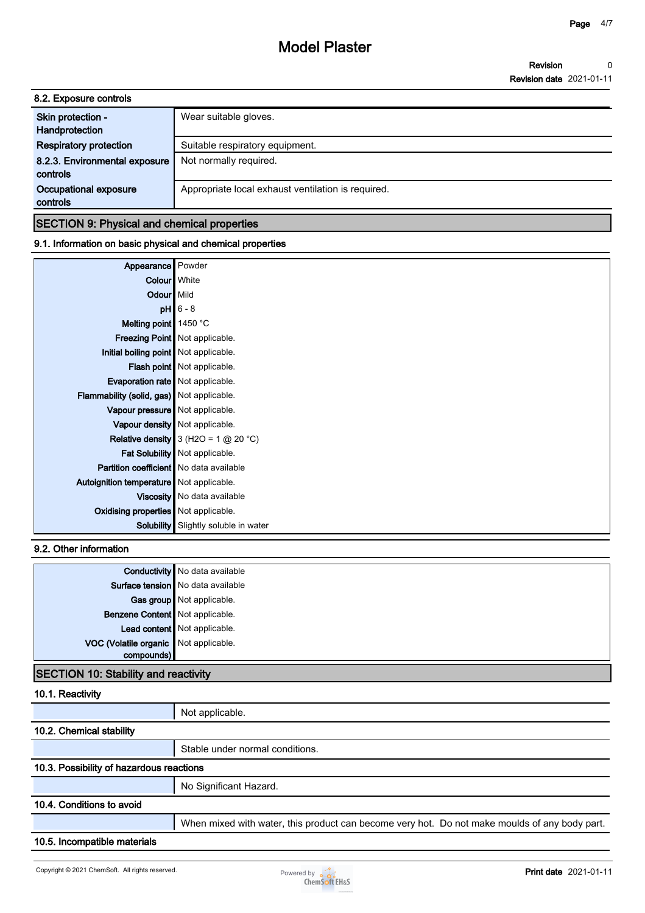| 8.2. Exposure controls                    |                                                    |
|-------------------------------------------|----------------------------------------------------|
| Skin protection -<br>Handprotection       | Wear suitable gloves.                              |
| <b>Respiratory protection</b>             | Suitable respiratory equipment.                    |
| 8.2.3. Environmental exposure<br>controls | Not normally required.                             |
| Occupational exposure<br>controls         | Appropriate local exhaust ventilation is required. |
|                                           |                                                    |

### **SECTION 9: Physical and chemical properties**

### **9.1. Information on basic physical and chemical properties**

| Appearance                                 | Powder                                  |
|--------------------------------------------|-----------------------------------------|
| Colour   White                             |                                         |
| Odour Mild                                 |                                         |
|                                            | $pH$ 6 - 8                              |
| Melting point $\parallel$ 1450 °C          |                                         |
|                                            | <b>Freezing Point   Not applicable.</b> |
| Initial boiling point   Not applicable.    |                                         |
|                                            | Flash point   Not applicable.           |
| Evaporation rate   Not applicable.         |                                         |
| Flammability (solid, gas) Not applicable.  |                                         |
| Vapour pressure   Not applicable.          |                                         |
|                                            | Vapour density   Not applicable.        |
|                                            | Relative density $3$ (H2O = 1 @ 20 °C)  |
|                                            | Fat Solubility   Not applicable.        |
| Partition coefficient   No data available  |                                         |
| Autoignition temperature   Not applicable. |                                         |
|                                            | Viscosity   No data available           |
| Oxidising properties Not applicable.       |                                         |
| Solubility                                 | Slightly soluble in water               |

### **9.2. Other information**

|                                       | Conductivity No data available      |
|---------------------------------------|-------------------------------------|
|                                       | Surface tension   No data available |
|                                       | Gas group Not applicable.           |
| Benzene Content   Not applicable.     |                                     |
|                                       | Lead content Not applicable.        |
| VOC (Volatile organic Not applicable. |                                     |
| compounds)                            |                                     |
|                                       |                                     |

# **SECTION 10: Stability and reactivity**

## **10.1. Reactivity**

|                                          | Not applicable.                                                                               |
|------------------------------------------|-----------------------------------------------------------------------------------------------|
| 10.2. Chemical stability                 |                                                                                               |
|                                          | Stable under normal conditions.                                                               |
| 10.3. Possibility of hazardous reactions |                                                                                               |
|                                          | No Significant Hazard.                                                                        |
| 10.4. Conditions to avoid                |                                                                                               |
|                                          | When mixed with water, this product can become very hot. Do not make moulds of any body part. |
| 10.5. Incompatible materials             |                                                                                               |
|                                          |                                                                                               |

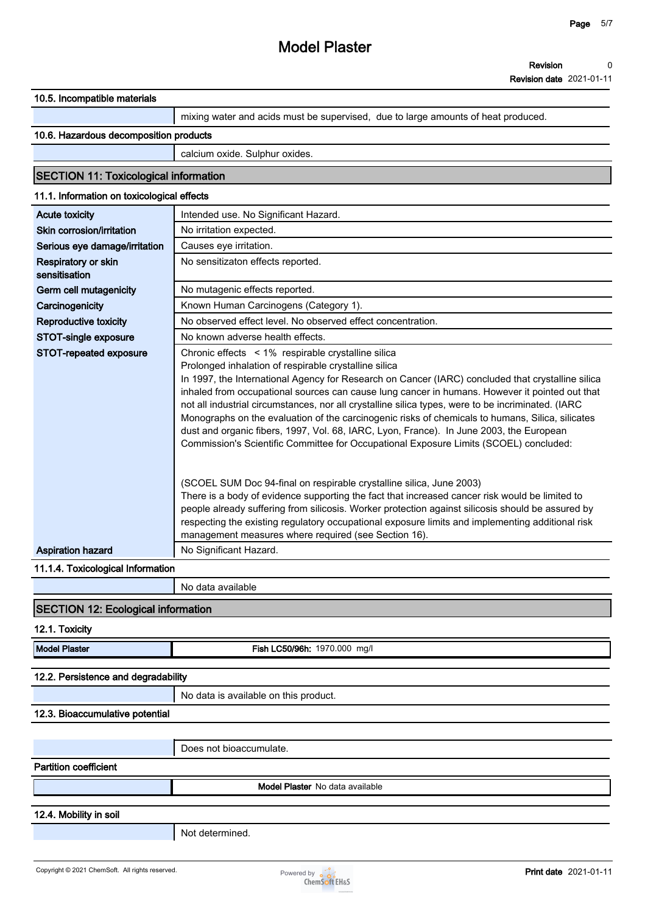**Revision date 2021-01-11**

| 10.5. Incompatible materials                    |                                                                                                                                                                                                                                                                                                                                                                                                                                                                                                                                                                                                                                                            |
|-------------------------------------------------|------------------------------------------------------------------------------------------------------------------------------------------------------------------------------------------------------------------------------------------------------------------------------------------------------------------------------------------------------------------------------------------------------------------------------------------------------------------------------------------------------------------------------------------------------------------------------------------------------------------------------------------------------------|
|                                                 | mixing water and acids must be supervised, due to large amounts of heat produced.                                                                                                                                                                                                                                                                                                                                                                                                                                                                                                                                                                          |
| 10.6. Hazardous decomposition products          |                                                                                                                                                                                                                                                                                                                                                                                                                                                                                                                                                                                                                                                            |
|                                                 | calcium oxide. Sulphur oxides.                                                                                                                                                                                                                                                                                                                                                                                                                                                                                                                                                                                                                             |
| <b>SECTION 11: Toxicological information</b>    |                                                                                                                                                                                                                                                                                                                                                                                                                                                                                                                                                                                                                                                            |
| 11.1. Information on toxicological effects      |                                                                                                                                                                                                                                                                                                                                                                                                                                                                                                                                                                                                                                                            |
| <b>Acute toxicity</b>                           | Intended use. No Significant Hazard.                                                                                                                                                                                                                                                                                                                                                                                                                                                                                                                                                                                                                       |
| Skin corrosion/irritation                       | No irritation expected.                                                                                                                                                                                                                                                                                                                                                                                                                                                                                                                                                                                                                                    |
| Serious eye damage/irritation                   | Causes eye irritation.                                                                                                                                                                                                                                                                                                                                                                                                                                                                                                                                                                                                                                     |
| Respiratory or skin<br>sensitisation            | No sensitizaton effects reported.                                                                                                                                                                                                                                                                                                                                                                                                                                                                                                                                                                                                                          |
| Germ cell mutagenicity                          | No mutagenic effects reported.                                                                                                                                                                                                                                                                                                                                                                                                                                                                                                                                                                                                                             |
| Carcinogenicity                                 | Known Human Carcinogens (Category 1).                                                                                                                                                                                                                                                                                                                                                                                                                                                                                                                                                                                                                      |
| <b>Reproductive toxicity</b>                    | No observed effect level. No observed effect concentration.                                                                                                                                                                                                                                                                                                                                                                                                                                                                                                                                                                                                |
| STOT-single exposure                            | No known adverse health effects.                                                                                                                                                                                                                                                                                                                                                                                                                                                                                                                                                                                                                           |
| STOT-repeated exposure                          | Chronic effects < 1% respirable crystalline silica                                                                                                                                                                                                                                                                                                                                                                                                                                                                                                                                                                                                         |
|                                                 | Prolonged inhalation of respirable crystalline silica<br>In 1997, the International Agency for Research on Cancer (IARC) concluded that crystalline silica<br>inhaled from occupational sources can cause lung cancer in humans. However it pointed out that<br>not all industrial circumstances, nor all crystalline silica types, were to be incriminated. (IARC<br>Monographs on the evaluation of the carcinogenic risks of chemicals to humans, Silica, silicates<br>dust and organic fibers, 1997, Vol. 68, IARC, Lyon, France). In June 2003, the European<br>Commission's Scientific Committee for Occupational Exposure Limits (SCOEL) concluded: |
|                                                 | (SCOEL SUM Doc 94-final on respirable crystalline silica, June 2003)<br>There is a body of evidence supporting the fact that increased cancer risk would be limited to<br>people already suffering from silicosis. Worker protection against silicosis should be assured by<br>respecting the existing regulatory occupational exposure limits and implementing additional risk<br>management measures where required (see Section 16).                                                                                                                                                                                                                    |
| <b>Aspiration hazard</b>                        | No Significant Hazard.                                                                                                                                                                                                                                                                                                                                                                                                                                                                                                                                                                                                                                     |
| 11.1.4. Toxicological Information               |                                                                                                                                                                                                                                                                                                                                                                                                                                                                                                                                                                                                                                                            |
|                                                 | No data available                                                                                                                                                                                                                                                                                                                                                                                                                                                                                                                                                                                                                                          |
| <b>SECTION 12: Ecological information</b>       |                                                                                                                                                                                                                                                                                                                                                                                                                                                                                                                                                                                                                                                            |
| 12.1. Toxicity                                  |                                                                                                                                                                                                                                                                                                                                                                                                                                                                                                                                                                                                                                                            |
| <b>Model Plaster</b>                            | Fish LC50/96h: 1970.000 mg/l                                                                                                                                                                                                                                                                                                                                                                                                                                                                                                                                                                                                                               |
| 12.2. Persistence and degradability             |                                                                                                                                                                                                                                                                                                                                                                                                                                                                                                                                                                                                                                                            |
|                                                 | No data is available on this product.                                                                                                                                                                                                                                                                                                                                                                                                                                                                                                                                                                                                                      |
| 12.3. Bioaccumulative potential                 |                                                                                                                                                                                                                                                                                                                                                                                                                                                                                                                                                                                                                                                            |
|                                                 |                                                                                                                                                                                                                                                                                                                                                                                                                                                                                                                                                                                                                                                            |
|                                                 | Does not bioaccumulate.                                                                                                                                                                                                                                                                                                                                                                                                                                                                                                                                                                                                                                    |
| <b>Partition coefficient</b>                    |                                                                                                                                                                                                                                                                                                                                                                                                                                                                                                                                                                                                                                                            |
|                                                 | <b>Model Plaster</b> No data available                                                                                                                                                                                                                                                                                                                                                                                                                                                                                                                                                                                                                     |
| 12.4. Mobility in soil                          |                                                                                                                                                                                                                                                                                                                                                                                                                                                                                                                                                                                                                                                            |
|                                                 | Not determined.                                                                                                                                                                                                                                                                                                                                                                                                                                                                                                                                                                                                                                            |
|                                                 |                                                                                                                                                                                                                                                                                                                                                                                                                                                                                                                                                                                                                                                            |
| Copyright © 2021 ChemSoft. All rights reserved. | <b>Print date</b> 2021-01-11<br>Powered by <b>o</b> o o                                                                                                                                                                                                                                                                                                                                                                                                                                                                                                                                                                                                    |
|                                                 | <b>ChemSoft EH&amp;S</b>                                                                                                                                                                                                                                                                                                                                                                                                                                                                                                                                                                                                                                   |

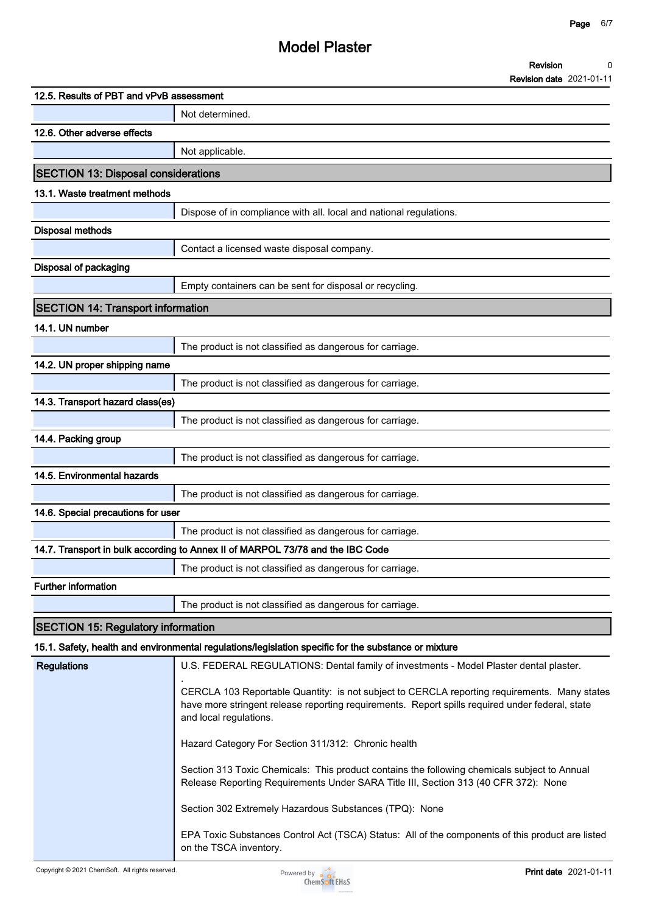| <b>Revision</b>                 |  |
|---------------------------------|--|
| <b>Revision date 2021-01-11</b> |  |

| 12.5. Results of PBT and vPvB assessment   |                                                                                                                                                                                                                           |  |  |  |
|--------------------------------------------|---------------------------------------------------------------------------------------------------------------------------------------------------------------------------------------------------------------------------|--|--|--|
|                                            | Not determined.                                                                                                                                                                                                           |  |  |  |
| 12.6. Other adverse effects                |                                                                                                                                                                                                                           |  |  |  |
|                                            | Not applicable.                                                                                                                                                                                                           |  |  |  |
| <b>SECTION 13: Disposal considerations</b> |                                                                                                                                                                                                                           |  |  |  |
| 13.1. Waste treatment methods              |                                                                                                                                                                                                                           |  |  |  |
|                                            | Dispose of in compliance with all. local and national regulations.                                                                                                                                                        |  |  |  |
| <b>Disposal methods</b>                    |                                                                                                                                                                                                                           |  |  |  |
|                                            | Contact a licensed waste disposal company.                                                                                                                                                                                |  |  |  |
| Disposal of packaging                      |                                                                                                                                                                                                                           |  |  |  |
|                                            | Empty containers can be sent for disposal or recycling.                                                                                                                                                                   |  |  |  |
| <b>SECTION 14: Transport information</b>   |                                                                                                                                                                                                                           |  |  |  |
| 14.1. UN number                            |                                                                                                                                                                                                                           |  |  |  |
|                                            | The product is not classified as dangerous for carriage.                                                                                                                                                                  |  |  |  |
| 14.2. UN proper shipping name              |                                                                                                                                                                                                                           |  |  |  |
|                                            | The product is not classified as dangerous for carriage.                                                                                                                                                                  |  |  |  |
| 14.3. Transport hazard class(es)           |                                                                                                                                                                                                                           |  |  |  |
|                                            | The product is not classified as dangerous for carriage.                                                                                                                                                                  |  |  |  |
| 14.4. Packing group                        |                                                                                                                                                                                                                           |  |  |  |
|                                            | The product is not classified as dangerous for carriage.                                                                                                                                                                  |  |  |  |
| 14.5. Environmental hazards                |                                                                                                                                                                                                                           |  |  |  |
|                                            | The product is not classified as dangerous for carriage.                                                                                                                                                                  |  |  |  |
| 14.6. Special precautions for user         |                                                                                                                                                                                                                           |  |  |  |
|                                            | The product is not classified as dangerous for carriage.                                                                                                                                                                  |  |  |  |
|                                            | 14.7. Transport in bulk according to Annex II of MARPOL 73/78 and the IBC Code                                                                                                                                            |  |  |  |
|                                            | The product is not classified as dangerous for carriage.                                                                                                                                                                  |  |  |  |
| <b>Further information</b>                 |                                                                                                                                                                                                                           |  |  |  |
|                                            | The product is not classified as dangerous for carriage.                                                                                                                                                                  |  |  |  |
| <b>SECTION 15: Regulatory information</b>  |                                                                                                                                                                                                                           |  |  |  |
|                                            | 15.1. Safety, health and environmental regulations/legislation specific for the substance or mixture                                                                                                                      |  |  |  |
| <b>Regulations</b>                         | U.S. FEDERAL REGULATIONS: Dental family of investments - Model Plaster dental plaster.                                                                                                                                    |  |  |  |
|                                            | CERCLA 103 Reportable Quantity: is not subject to CERCLA reporting requirements. Many states<br>have more stringent release reporting requirements. Report spills required under federal, state<br>and local regulations. |  |  |  |
|                                            | Hazard Category For Section 311/312: Chronic health                                                                                                                                                                       |  |  |  |
|                                            | Section 313 Toxic Chemicals: This product contains the following chemicals subject to Annual<br>Release Reporting Requirements Under SARA Title III, Section 313 (40 CFR 372): None                                       |  |  |  |
|                                            | Section 302 Extremely Hazardous Substances (TPQ): None                                                                                                                                                                    |  |  |  |
|                                            | EPA Toxic Substances Control Act (TSCA) Status: All of the components of this product are listed                                                                                                                          |  |  |  |



**on the TSCA inventory.**